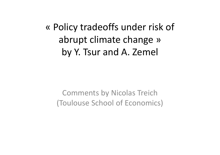« Policy tradeoffs under risk of abrupt climate change » by Y. Tsur and A. Zemel

Comments by Nicolas Treich (Toulouse School of Economics)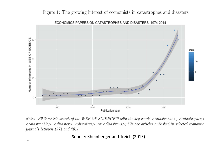## Figure 1: The growing interest of economists in catastrophes and disasters



ECONOMICS PAPERS ON CATASTROPHES AND DISASTERS, 1974-2014

Notes: Bibliometric search of the WEB OF SCIENCE<sup>TM</sup> with the key words  $\langle$  catastrophe $\rangle$ ,  $\langle$  catastrophes $\rangle$  $\langle catastrophic\rangle$ ,  $\langle disaster\rangle$ ,  $\langle disasters\rangle$ , or  $\langle disastrous\rangle$ ; hits are articles published in selected economic journals between 1974 and 2014.

Source: Rheinberger and Treich (2015)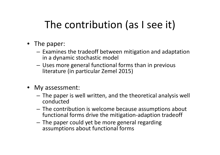## The contribution (as I see it)

- The paper:
	- – $-$  Examines the tradeoff between mitigation and adaptation in <sup>a</sup> dynamic stochastic model
	- Uses more general functional forms than in previous literature (in particular Zemel 2015)
- My assessment:
	- The paper is well written, and the theoretical analysis well conducted
	- The contribution is welcome because assumptions about functional forms drive the mitigation‐adaption tradeoff
	- The paper could yet be more general regarding assumptions about functional forms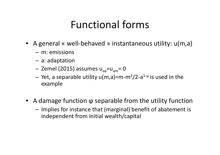## Functional forms

- A general « well-behaved » instantaneous utility: u(m,a)
	- m: emissions
	- – $-$  a: adaptation
	- Zemel (2015) assumes u<sub>aa</sub>=u<sub>am</sub>= 0
	- Yet, a separable utility u(m,a)=m  $-m<sup>2</sup>/2$ -a $^{1-\mu}$  is used in the example
- A damage function φ separable from the utility function
	- – $-$  Implies for instance that (marginal) benefit of abatement is independent from initial wealth/capital